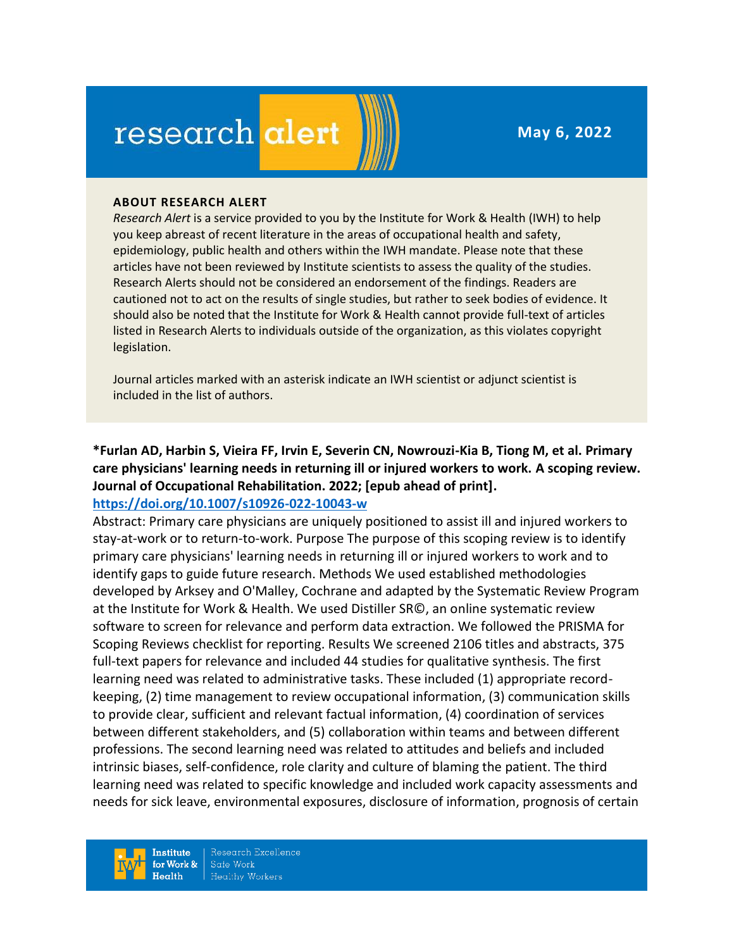**May 6, 2022**

# research alert

#### **ABOUT RESEARCH ALERT**

*Research Alert* is a service provided to you by the Institute for Work & Health (IWH) to help you keep abreast of recent literature in the areas of occupational health and safety, epidemiology, public health and others within the IWH mandate. Please note that these articles have not been reviewed by Institute scientists to assess the quality of the studies. Research Alerts should not be considered an endorsement of the findings. Readers are cautioned not to act on the results of single studies, but rather to seek bodies of evidence. It should also be noted that the Institute for Work & Health cannot provide full-text of articles listed in Research Alerts to individuals outside of the organization, as this violates copyright legislation.

Journal articles marked with an asterisk indicate an IWH scientist or adjunct scientist is included in the list of authors.

**\*Furlan AD, Harbin S, Vieira FF, Irvin E, Severin CN, Nowrouzi-Kia B, Tiong M, et al. Primary care physicians' learning needs in returning ill or injured workers to work. A scoping review. Journal of Occupational Rehabilitation. 2022; [epub ahead of print].**

#### **<https://doi.org/10.1007/s10926-022-10043-w>**

Abstract: Primary care physicians are uniquely positioned to assist ill and injured workers to stay-at-work or to return-to-work. Purpose The purpose of this scoping review is to identify primary care physicians' learning needs in returning ill or injured workers to work and to identify gaps to guide future research. Methods We used established methodologies developed by Arksey and O'Malley, Cochrane and adapted by the Systematic Review Program at the Institute for Work & Health. We used Distiller SR©, an online systematic review software to screen for relevance and perform data extraction. We followed the PRISMA for Scoping Reviews checklist for reporting. Results We screened 2106 titles and abstracts, 375 full-text papers for relevance and included 44 studies for qualitative synthesis. The first learning need was related to administrative tasks. These included (1) appropriate recordkeeping, (2) time management to review occupational information, (3) communication skills to provide clear, sufficient and relevant factual information, (4) coordination of services between different stakeholders, and (5) collaboration within teams and between different professions. The second learning need was related to attitudes and beliefs and included intrinsic biases, self-confidence, role clarity and culture of blaming the patient. The third learning need was related to specific knowledge and included work capacity assessments and needs for sick leave, environmental exposures, disclosure of information, prognosis of certain

**Institute** for Work & Health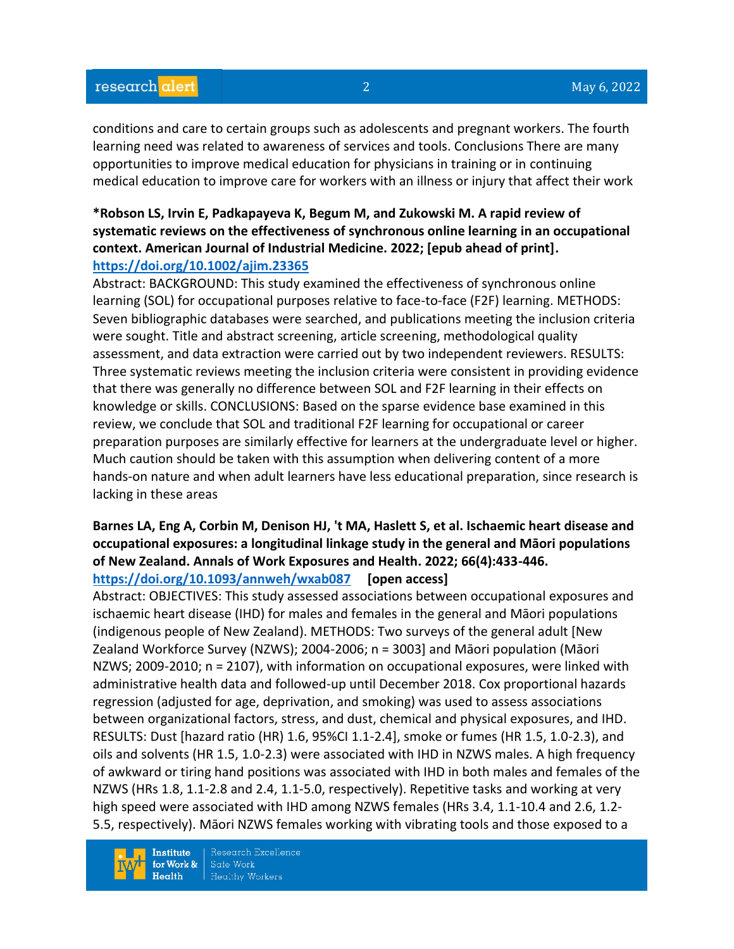conditions and care to certain groups such as adolescents and pregnant workers. The fourth learning need was related to awareness of services and tools. Conclusions There are many opportunities to improve medical education for physicians in training or in continuing medical education to improve care for workers with an illness or injury that affect their work

## **\*Robson LS, Irvin E, Padkapayeva K, Begum M, and Zukowski M. A rapid review of systematic reviews on the effectiveness of synchronous online learning in an occupational context. American Journal of Industrial Medicine. 2022; [epub ahead of print]. <https://doi.org/10.1002/ajim.23365>**

Abstract: BACKGROUND: This study examined the effectiveness of synchronous online learning (SOL) for occupational purposes relative to face-to-face (F2F) learning. METHODS: Seven bibliographic databases were searched, and publications meeting the inclusion criteria were sought. Title and abstract screening, article screening, methodological quality assessment, and data extraction were carried out by two independent reviewers. RESULTS: Three systematic reviews meeting the inclusion criteria were consistent in providing evidence that there was generally no difference between SOL and F2F learning in their effects on knowledge or skills. CONCLUSIONS: Based on the sparse evidence base examined in this review, we conclude that SOL and traditional F2F learning for occupational or career preparation purposes are similarly effective for learners at the undergraduate level or higher. Much caution should be taken with this assumption when delivering content of a more hands-on nature and when adult learners have less educational preparation, since research is lacking in these areas

## **Barnes LA, Eng A, Corbin M, Denison HJ, 't MA, Haslett S, et al. Ischaemic heart disease and occupational exposures: a longitudinal linkage study in the general and Māori populations of New Zealand. Annals of Work Exposures and Health. 2022; 66(4):433-446. <https://doi.org/10.1093/annweh/wxab087> [open access]**

Abstract: OBJECTIVES: This study assessed associations between occupational exposures and ischaemic heart disease (IHD) for males and females in the general and Māori populations (indigenous people of New Zealand). METHODS: Two surveys of the general adult [New Zealand Workforce Survey (NZWS); 2004-2006; n = 3003] and Māori population (Māori NZWS; 2009-2010; n = 2107), with information on occupational exposures, were linked with administrative health data and followed-up until December 2018. Cox proportional hazards regression (adjusted for age, deprivation, and smoking) was used to assess associations between organizational factors, stress, and dust, chemical and physical exposures, and IHD. RESULTS: Dust [hazard ratio (HR) 1.6, 95%CI 1.1-2.4], smoke or fumes (HR 1.5, 1.0-2.3), and oils and solvents (HR 1.5, 1.0-2.3) were associated with IHD in NZWS males. A high frequency of awkward or tiring hand positions was associated with IHD in both males and females of the NZWS (HRs 1.8, 1.1-2.8 and 2.4, 1.1-5.0, respectively). Repetitive tasks and working at very high speed were associated with IHD among NZWS females (HRs 3.4, 1.1-10.4 and 2.6, 1.2-5.5, respectively). Māori NZWS females working with vibrating tools and those exposed to a

**Institute** for Work &  $Health$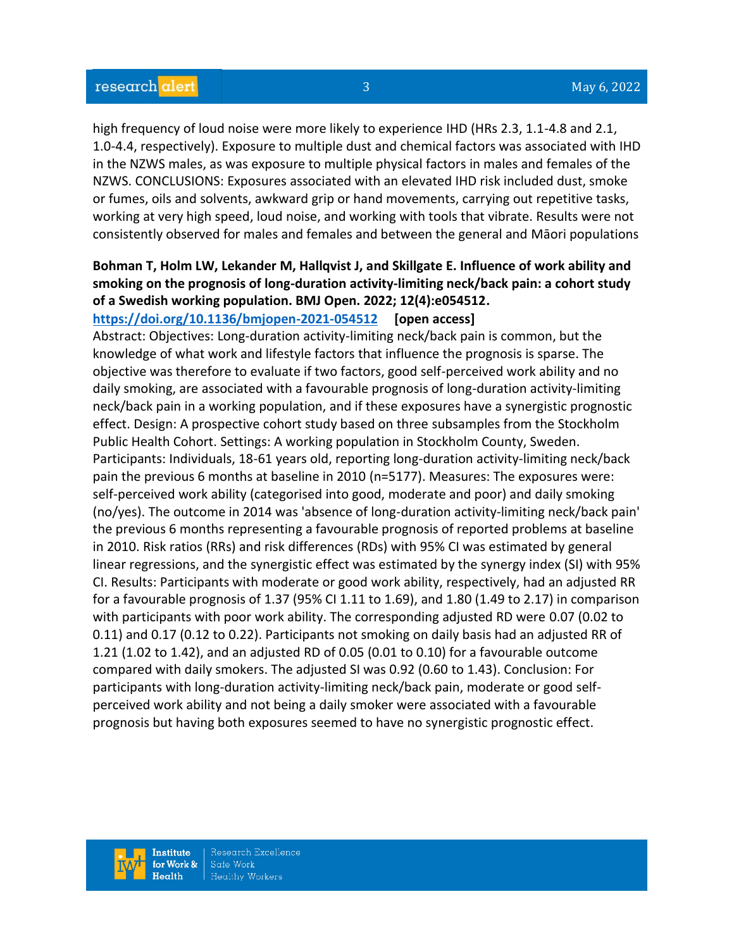high frequency of loud noise were more likely to experience IHD (HRs 2.3, 1.1-4.8 and 2.1, 1.0-4.4, respectively). Exposure to multiple dust and chemical factors was associated with IHD in the NZWS males, as was exposure to multiple physical factors in males and females of the NZWS. CONCLUSIONS: Exposures associated with an elevated IHD risk included dust, smoke or fumes, oils and solvents, awkward grip or hand movements, carrying out repetitive tasks, working at very high speed, loud noise, and working with tools that vibrate. Results were not consistently observed for males and females and between the general and Māori populations

# **Bohman T, Holm LW, Lekander M, Hallqvist J, and Skillgate E. Influence of work ability and smoking on the prognosis of long-duration activity-limiting neck/back pain: a cohort study of a Swedish working population. BMJ Open. 2022; 12(4):e054512.**

#### **<https://doi.org/10.1136/bmjopen-2021-054512> [open access]**

Abstract: Objectives: Long-duration activity-limiting neck/back pain is common, but the knowledge of what work and lifestyle factors that influence the prognosis is sparse. The objective was therefore to evaluate if two factors, good self-perceived work ability and no daily smoking, are associated with a favourable prognosis of long-duration activity-limiting neck/back pain in a working population, and if these exposures have a synergistic prognostic effect. Design: A prospective cohort study based on three subsamples from the Stockholm Public Health Cohort. Settings: A working population in Stockholm County, Sweden. Participants: Individuals, 18-61 years old, reporting long-duration activity-limiting neck/back pain the previous 6 months at baseline in 2010 (n=5177). Measures: The exposures were: self-perceived work ability (categorised into good, moderate and poor) and daily smoking (no/yes). The outcome in 2014 was 'absence of long-duration activity-limiting neck/back pain' the previous 6 months representing a favourable prognosis of reported problems at baseline in 2010. Risk ratios (RRs) and risk differences (RDs) with 95% CI was estimated by general linear regressions, and the synergistic effect was estimated by the synergy index (SI) with 95% CI. Results: Participants with moderate or good work ability, respectively, had an adjusted RR for a favourable prognosis of 1.37 (95% CI 1.11 to 1.69), and 1.80 (1.49 to 2.17) in comparison with participants with poor work ability. The corresponding adjusted RD were 0.07 (0.02 to 0.11) and 0.17 (0.12 to 0.22). Participants not smoking on daily basis had an adjusted RR of 1.21 (1.02 to 1.42), and an adjusted RD of 0.05 (0.01 to 0.10) for a favourable outcome compared with daily smokers. The adjusted SI was 0.92 (0.60 to 1.43). Conclusion: For participants with long-duration activity-limiting neck/back pain, moderate or good selfperceived work ability and not being a daily smoker were associated with a favourable prognosis but having both exposures seemed to have no synergistic prognostic effect.

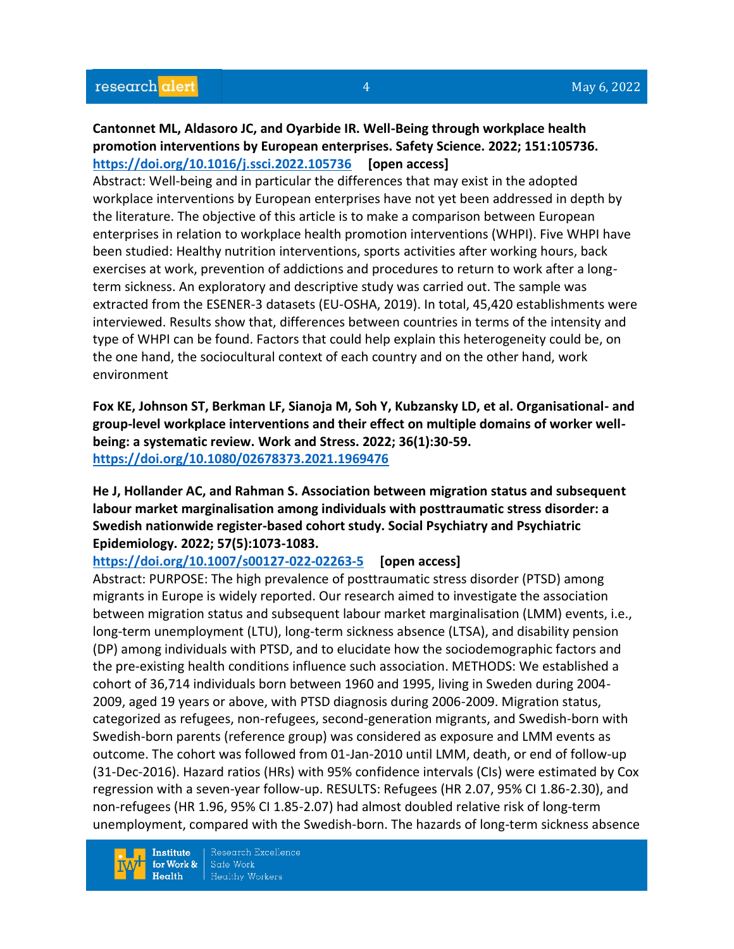# **Cantonnet ML, Aldasoro JC, and Oyarbide IR. Well-Being through workplace health promotion interventions by European enterprises. Safety Science. 2022; 151:105736. <https://doi.org/10.1016/j.ssci.2022.105736> [open access]**

Abstract: Well-being and in particular the differences that may exist in the adopted workplace interventions by European enterprises have not yet been addressed in depth by the literature. The objective of this article is to make a comparison between European enterprises in relation to workplace health promotion interventions (WHPI). Five WHPI have been studied: Healthy nutrition interventions, sports activities after working hours, back exercises at work, prevention of addictions and procedures to return to work after a longterm sickness. An exploratory and descriptive study was carried out. The sample was extracted from the ESENER-3 datasets (EU-OSHA, 2019). In total, 45,420 establishments were interviewed. Results show that, differences between countries in terms of the intensity and type of WHPI can be found. Factors that could help explain this heterogeneity could be, on the one hand, the sociocultural context of each country and on the other hand, work environment

**Fox KE, Johnson ST, Berkman LF, Sianoja M, Soh Y, Kubzansky LD, et al. Organisational- and group-level workplace interventions and their effect on multiple domains of worker wellbeing: a systematic review. Work and Stress. 2022; 36(1):30-59. <https://doi.org/10.1080/02678373.2021.1969476>** 

**He J, Hollander AC, and Rahman S. Association between migration status and subsequent labour market marginalisation among individuals with posttraumatic stress disorder: a Swedish nationwide register-based cohort study. Social Psychiatry and Psychiatric Epidemiology. 2022; 57(5):1073-1083.** 

**<https://doi.org/10.1007/s00127-022-02263-5> [open access]**

Abstract: PURPOSE: The high prevalence of posttraumatic stress disorder (PTSD) among migrants in Europe is widely reported. Our research aimed to investigate the association between migration status and subsequent labour market marginalisation (LMM) events, i.e., long-term unemployment (LTU), long-term sickness absence (LTSA), and disability pension (DP) among individuals with PTSD, and to elucidate how the sociodemographic factors and the pre-existing health conditions influence such association. METHODS: We established a cohort of 36,714 individuals born between 1960 and 1995, living in Sweden during 2004- 2009, aged 19 years or above, with PTSD diagnosis during 2006-2009. Migration status, categorized as refugees, non-refugees, second-generation migrants, and Swedish-born with Swedish-born parents (reference group) was considered as exposure and LMM events as outcome. The cohort was followed from 01-Jan-2010 until LMM, death, or end of follow-up (31-Dec-2016). Hazard ratios (HRs) with 95% confidence intervals (CIs) were estimated by Cox regression with a seven-year follow-up. RESULTS: Refugees (HR 2.07, 95% CI 1.86-2.30), and non-refugees (HR 1.96, 95% CI 1.85-2.07) had almost doubled relative risk of long-term unemployment, compared with the Swedish-born. The hazards of long-term sickness absence

**Institute** for Work &  $Health$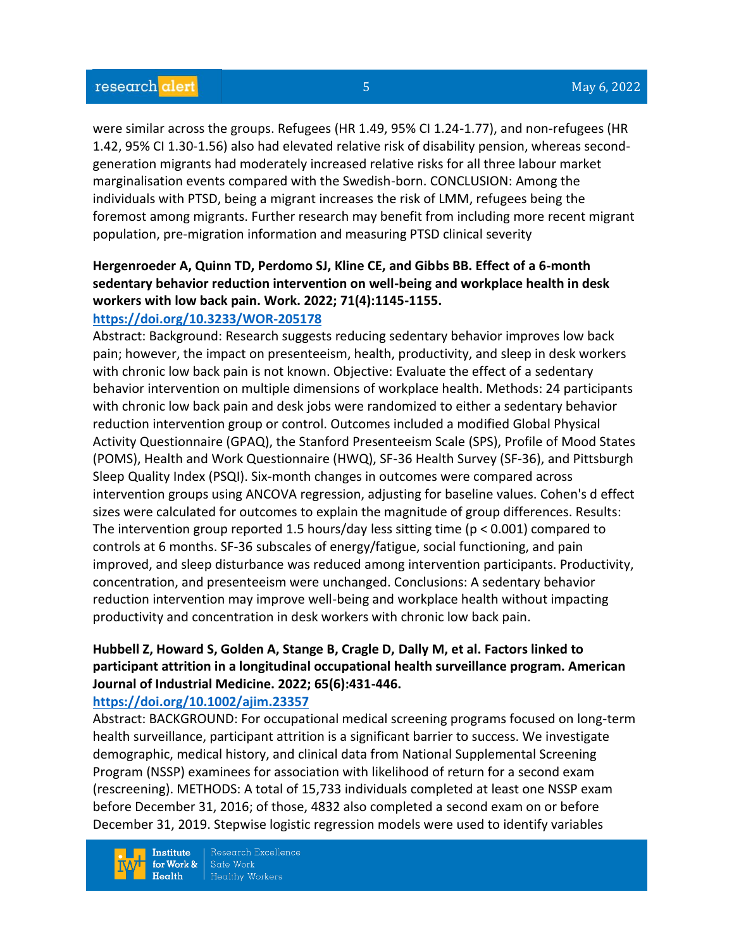were similar across the groups. Refugees (HR 1.49, 95% CI 1.24-1.77), and non-refugees (HR 1.42, 95% CI 1.30-1.56) also had elevated relative risk of disability pension, whereas secondgeneration migrants had moderately increased relative risks for all three labour market marginalisation events compared with the Swedish-born. CONCLUSION: Among the individuals with PTSD, being a migrant increases the risk of LMM, refugees being the foremost among migrants. Further research may benefit from including more recent migrant population, pre-migration information and measuring PTSD clinical severity

# **Hergenroeder A, Quinn TD, Perdomo SJ, Kline CE, and Gibbs BB. Effect of a 6-month sedentary behavior reduction intervention on well-being and workplace health in desk workers with low back pain. Work. 2022; 71(4):1145-1155.**

### **<https://doi.org/10.3233/WOR-205178>**

Abstract: Background: Research suggests reducing sedentary behavior improves low back pain; however, the impact on presenteeism, health, productivity, and sleep in desk workers with chronic low back pain is not known. Objective: Evaluate the effect of a sedentary behavior intervention on multiple dimensions of workplace health. Methods: 24 participants with chronic low back pain and desk jobs were randomized to either a sedentary behavior reduction intervention group or control. Outcomes included a modified Global Physical Activity Questionnaire (GPAQ), the Stanford Presenteeism Scale (SPS), Profile of Mood States (POMS), Health and Work Questionnaire (HWQ), SF-36 Health Survey (SF-36), and Pittsburgh Sleep Quality Index (PSQI). Six-month changes in outcomes were compared across intervention groups using ANCOVA regression, adjusting for baseline values. Cohen's d effect sizes were calculated for outcomes to explain the magnitude of group differences. Results: The intervention group reported 1.5 hours/day less sitting time ( $p < 0.001$ ) compared to controls at 6 months. SF-36 subscales of energy/fatigue, social functioning, and pain improved, and sleep disturbance was reduced among intervention participants. Productivity, concentration, and presenteeism were unchanged. Conclusions: A sedentary behavior reduction intervention may improve well-being and workplace health without impacting productivity and concentration in desk workers with chronic low back pain.

## **Hubbell Z, Howard S, Golden A, Stange B, Cragle D, Dally M, et al. Factors linked to participant attrition in a longitudinal occupational health surveillance program. American Journal of Industrial Medicine. 2022; 65(6):431-446.**

#### **<https://doi.org/10.1002/ajim.23357>**

Abstract: BACKGROUND: For occupational medical screening programs focused on long-term health surveillance, participant attrition is a significant barrier to success. We investigate demographic, medical history, and clinical data from National Supplemental Screening Program (NSSP) examinees for association with likelihood of return for a second exam (rescreening). METHODS: A total of 15,733 individuals completed at least one NSSP exam before December 31, 2016; of those, 4832 also completed a second exam on or before December 31, 2019. Stepwise logistic regression models were used to identify variables

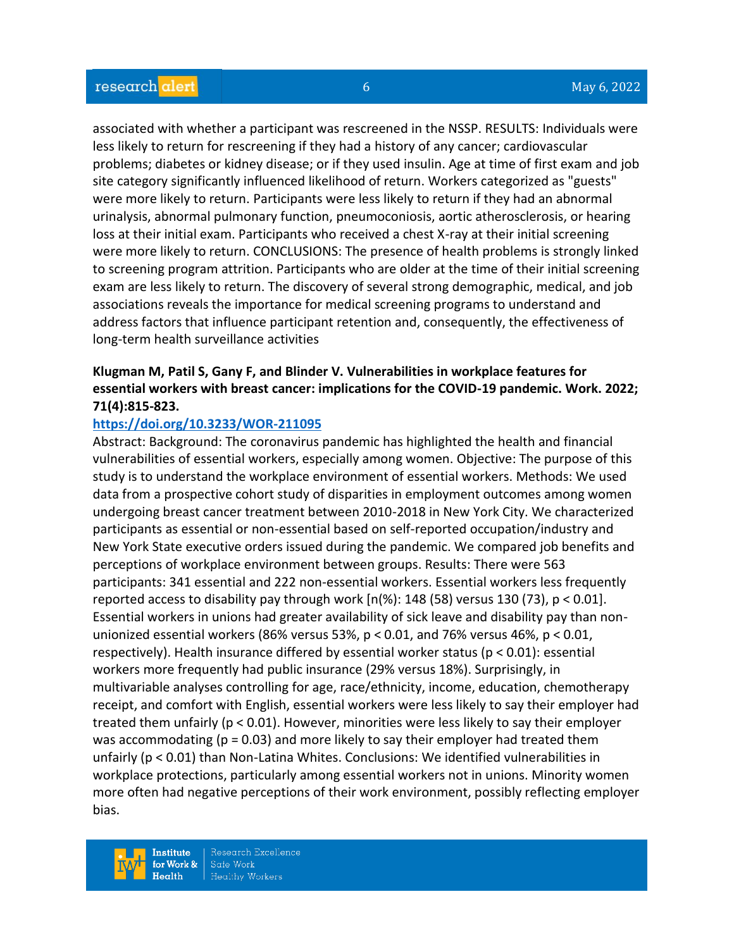associated with whether a participant was rescreened in the NSSP. RESULTS: Individuals were less likely to return for rescreening if they had a history of any cancer; cardiovascular problems; diabetes or kidney disease; or if they used insulin. Age at time of first exam and job site category significantly influenced likelihood of return. Workers categorized as "guests" were more likely to return. Participants were less likely to return if they had an abnormal urinalysis, abnormal pulmonary function, pneumoconiosis, aortic atherosclerosis, or hearing loss at their initial exam. Participants who received a chest X-ray at their initial screening were more likely to return. CONCLUSIONS: The presence of health problems is strongly linked to screening program attrition. Participants who are older at the time of their initial screening exam are less likely to return. The discovery of several strong demographic, medical, and job associations reveals the importance for medical screening programs to understand and address factors that influence participant retention and, consequently, the effectiveness of long-term health surveillance activities

## **Klugman M, Patil S, Gany F, and Blinder V. Vulnerabilities in workplace features for essential workers with breast cancer: implications for the COVID-19 pandemic. Work. 2022; 71(4):815-823.**

#### **<https://doi.org/10.3233/WOR-211095>**

Abstract: Background: The coronavirus pandemic has highlighted the health and financial vulnerabilities of essential workers, especially among women. Objective: The purpose of this study is to understand the workplace environment of essential workers. Methods: We used data from a prospective cohort study of disparities in employment outcomes among women undergoing breast cancer treatment between 2010-2018 in New York City. We characterized participants as essential or non-essential based on self-reported occupation/industry and New York State executive orders issued during the pandemic. We compared job benefits and perceptions of workplace environment between groups. Results: There were 563 participants: 341 essential and 222 non-essential workers. Essential workers less frequently reported access to disability pay through work  $[n%): 148 (58)$  versus 130 (73),  $p < 0.01$ . Essential workers in unions had greater availability of sick leave and disability pay than nonunionized essential workers (86% versus 53%, p < 0.01, and 76% versus 46%, p < 0.01, respectively). Health insurance differed by essential worker status (p < 0.01): essential workers more frequently had public insurance (29% versus 18%). Surprisingly, in multivariable analyses controlling for age, race/ethnicity, income, education, chemotherapy receipt, and comfort with English, essential workers were less likely to say their employer had treated them unfairly (p < 0.01). However, minorities were less likely to say their employer was accommodating ( $p = 0.03$ ) and more likely to say their employer had treated them unfairly (p < 0.01) than Non-Latina Whites. Conclusions: We identified vulnerabilities in workplace protections, particularly among essential workers not in unions. Minority women more often had negative perceptions of their work environment, possibly reflecting employer bias.

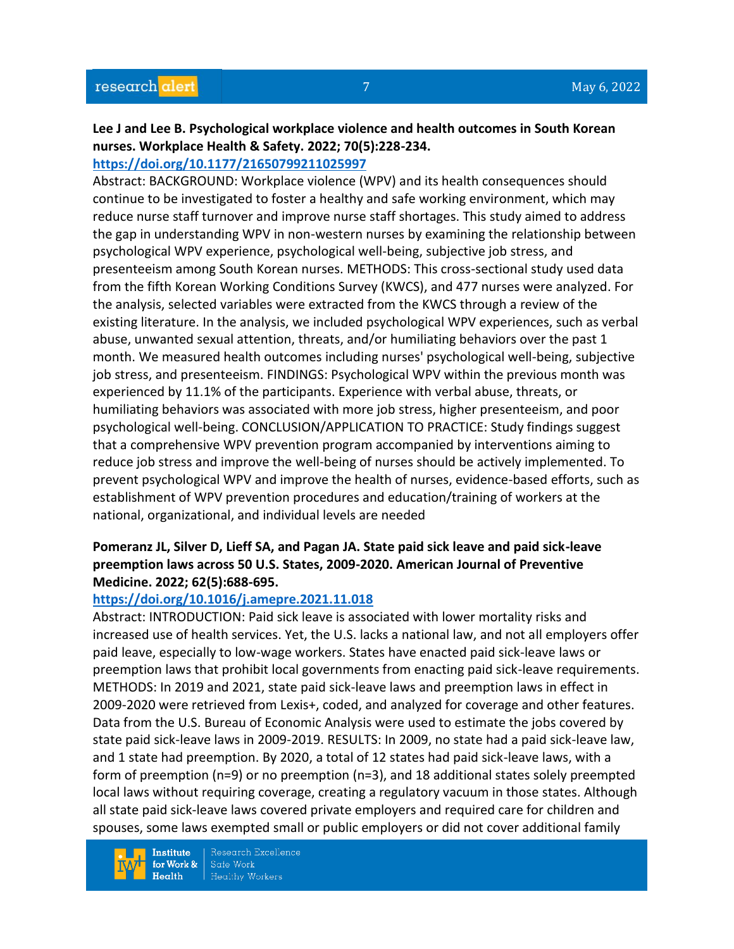# **Lee J and Lee B. Psychological workplace violence and health outcomes in South Korean nurses. Workplace Health & Safety. 2022; 70(5):228-234.**

## **<https://doi.org/10.1177/21650799211025997>**

Abstract: BACKGROUND: Workplace violence (WPV) and its health consequences should continue to be investigated to foster a healthy and safe working environment, which may reduce nurse staff turnover and improve nurse staff shortages. This study aimed to address the gap in understanding WPV in non-western nurses by examining the relationship between psychological WPV experience, psychological well-being, subjective job stress, and presenteeism among South Korean nurses. METHODS: This cross-sectional study used data from the fifth Korean Working Conditions Survey (KWCS), and 477 nurses were analyzed. For the analysis, selected variables were extracted from the KWCS through a review of the existing literature. In the analysis, we included psychological WPV experiences, such as verbal abuse, unwanted sexual attention, threats, and/or humiliating behaviors over the past 1 month. We measured health outcomes including nurses' psychological well-being, subjective job stress, and presenteeism. FINDINGS: Psychological WPV within the previous month was experienced by 11.1% of the participants. Experience with verbal abuse, threats, or humiliating behaviors was associated with more job stress, higher presenteeism, and poor psychological well-being. CONCLUSION/APPLICATION TO PRACTICE: Study findings suggest that a comprehensive WPV prevention program accompanied by interventions aiming to reduce job stress and improve the well-being of nurses should be actively implemented. To prevent psychological WPV and improve the health of nurses, evidence-based efforts, such as establishment of WPV prevention procedures and education/training of workers at the national, organizational, and individual levels are needed

## **Pomeranz JL, Silver D, Lieff SA, and Pagan JA. State paid sick leave and paid sick-leave preemption laws across 50 U.S. States, 2009-2020. American Journal of Preventive Medicine. 2022; 62(5):688-695.**

## **<https://doi.org/10.1016/j.amepre.2021.11.018>**

Abstract: INTRODUCTION: Paid sick leave is associated with lower mortality risks and increased use of health services. Yet, the U.S. lacks a national law, and not all employers offer paid leave, especially to low-wage workers. States have enacted paid sick-leave laws or preemption laws that prohibit local governments from enacting paid sick-leave requirements. METHODS: In 2019 and 2021, state paid sick-leave laws and preemption laws in effect in 2009-2020 were retrieved from Lexis+, coded, and analyzed for coverage and other features. Data from the U.S. Bureau of Economic Analysis were used to estimate the jobs covered by state paid sick-leave laws in 2009-2019. RESULTS: In 2009, no state had a paid sick-leave law, and 1 state had preemption. By 2020, a total of 12 states had paid sick-leave laws, with a form of preemption (n=9) or no preemption (n=3), and 18 additional states solely preempted local laws without requiring coverage, creating a regulatory vacuum in those states. Although all state paid sick-leave laws covered private employers and required care for children and spouses, some laws exempted small or public employers or did not cover additional family

**Institute** for Work &  $Health$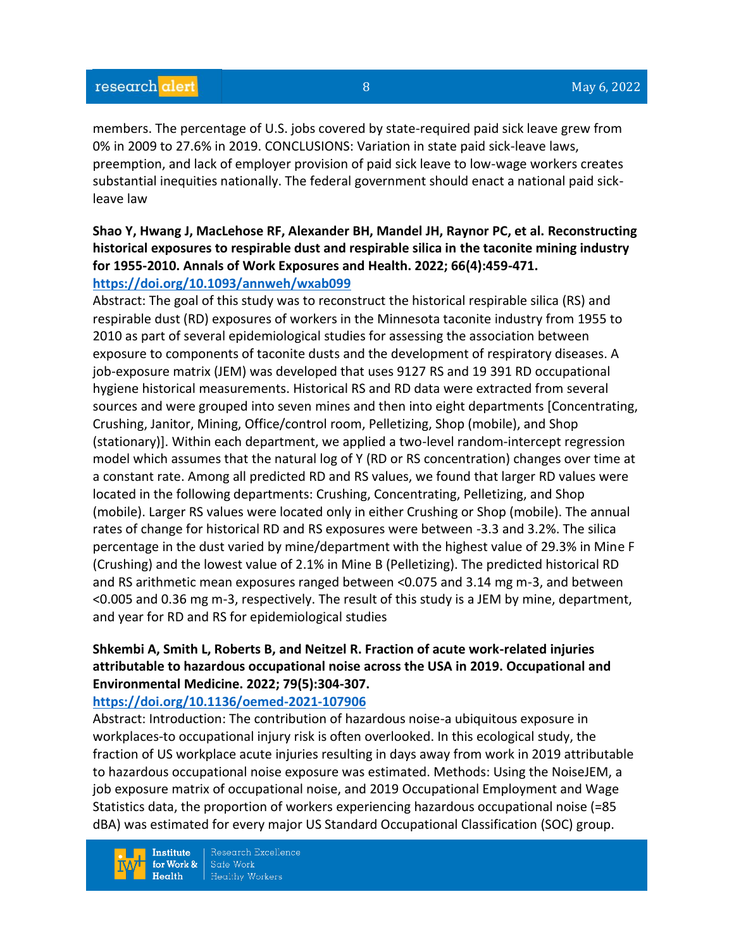members. The percentage of U.S. jobs covered by state-required paid sick leave grew from 0% in 2009 to 27.6% in 2019. CONCLUSIONS: Variation in state paid sick-leave laws, preemption, and lack of employer provision of paid sick leave to low-wage workers creates substantial inequities nationally. The federal government should enact a national paid sickleave law

## **Shao Y, Hwang J, MacLehose RF, Alexander BH, Mandel JH, Raynor PC, et al. Reconstructing historical exposures to respirable dust and respirable silica in the taconite mining industry for 1955-2010. Annals of Work Exposures and Health. 2022; 66(4):459-471. <https://doi.org/10.1093/annweh/wxab099>**

Abstract: The goal of this study was to reconstruct the historical respirable silica (RS) and respirable dust (RD) exposures of workers in the Minnesota taconite industry from 1955 to 2010 as part of several epidemiological studies for assessing the association between exposure to components of taconite dusts and the development of respiratory diseases. A job-exposure matrix (JEM) was developed that uses 9127 RS and 19 391 RD occupational hygiene historical measurements. Historical RS and RD data were extracted from several sources and were grouped into seven mines and then into eight departments [Concentrating, Crushing, Janitor, Mining, Office/control room, Pelletizing, Shop (mobile), and Shop (stationary)]. Within each department, we applied a two-level random-intercept regression model which assumes that the natural log of Y (RD or RS concentration) changes over time at a constant rate. Among all predicted RD and RS values, we found that larger RD values were located in the following departments: Crushing, Concentrating, Pelletizing, and Shop (mobile). Larger RS values were located only in either Crushing or Shop (mobile). The annual rates of change for historical RD and RS exposures were between -3.3 and 3.2%. The silica percentage in the dust varied by mine/department with the highest value of 29.3% in Mine F (Crushing) and the lowest value of 2.1% in Mine B (Pelletizing). The predicted historical RD and RS arithmetic mean exposures ranged between <0.075 and 3.14 mg m-3, and between <0.005 and 0.36 mg m-3, respectively. The result of this study is a JEM by mine, department, and year for RD and RS for epidemiological studies

## **Shkembi A, Smith L, Roberts B, and Neitzel R. Fraction of acute work-related injuries attributable to hazardous occupational noise across the USA in 2019. Occupational and Environmental Medicine. 2022; 79(5):304-307.**

#### **<https://doi.org/10.1136/oemed-2021-107906>**

Abstract: Introduction: The contribution of hazardous noise-a ubiquitous exposure in workplaces-to occupational injury risk is often overlooked. In this ecological study, the fraction of US workplace acute injuries resulting in days away from work in 2019 attributable to hazardous occupational noise exposure was estimated. Methods: Using the NoiseJEM, a job exposure matrix of occupational noise, and 2019 Occupational Employment and Wage Statistics data, the proportion of workers experiencing hazardous occupational noise (=85 dBA) was estimated for every major US Standard Occupational Classification (SOC) group.

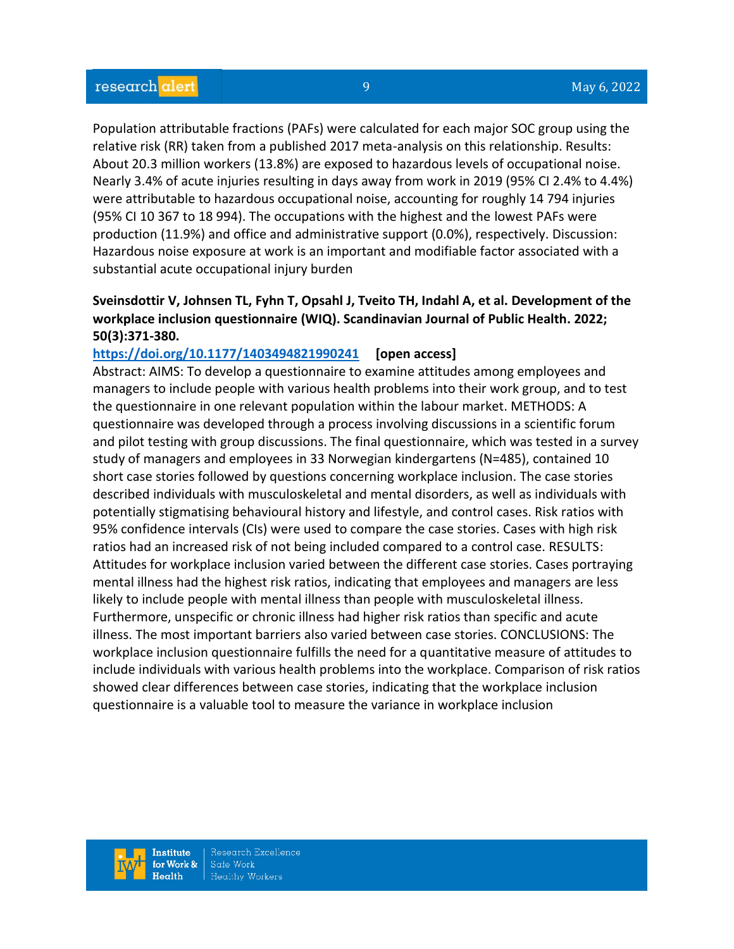Population attributable fractions (PAFs) were calculated for each major SOC group using the relative risk (RR) taken from a published 2017 meta-analysis on this relationship. Results: About 20.3 million workers (13.8%) are exposed to hazardous levels of occupational noise. Nearly 3.4% of acute injuries resulting in days away from work in 2019 (95% CI 2.4% to 4.4%) were attributable to hazardous occupational noise, accounting for roughly 14 794 injuries (95% CI 10 367 to 18 994). The occupations with the highest and the lowest PAFs were production (11.9%) and office and administrative support (0.0%), respectively. Discussion: Hazardous noise exposure at work is an important and modifiable factor associated with a substantial acute occupational injury burden

## **Sveinsdottir V, Johnsen TL, Fyhn T, Opsahl J, Tveito TH, Indahl A, et al. Development of the workplace inclusion questionnaire (WIQ). Scandinavian Journal of Public Health. 2022; 50(3):371-380.**

#### **<https://doi.org/10.1177/1403494821990241> [open access]**

Abstract: AIMS: To develop a questionnaire to examine attitudes among employees and managers to include people with various health problems into their work group, and to test the questionnaire in one relevant population within the labour market. METHODS: A questionnaire was developed through a process involving discussions in a scientific forum and pilot testing with group discussions. The final questionnaire, which was tested in a survey study of managers and employees in 33 Norwegian kindergartens (N=485), contained 10 short case stories followed by questions concerning workplace inclusion. The case stories described individuals with musculoskeletal and mental disorders, as well as individuals with potentially stigmatising behavioural history and lifestyle, and control cases. Risk ratios with 95% confidence intervals (CIs) were used to compare the case stories. Cases with high risk ratios had an increased risk of not being included compared to a control case. RESULTS: Attitudes for workplace inclusion varied between the different case stories. Cases portraying mental illness had the highest risk ratios, indicating that employees and managers are less likely to include people with mental illness than people with musculoskeletal illness. Furthermore, unspecific or chronic illness had higher risk ratios than specific and acute illness. The most important barriers also varied between case stories. CONCLUSIONS: The workplace inclusion questionnaire fulfills the need for a quantitative measure of attitudes to include individuals with various health problems into the workplace. Comparison of risk ratios showed clear differences between case stories, indicating that the workplace inclusion questionnaire is a valuable tool to measure the variance in workplace inclusion

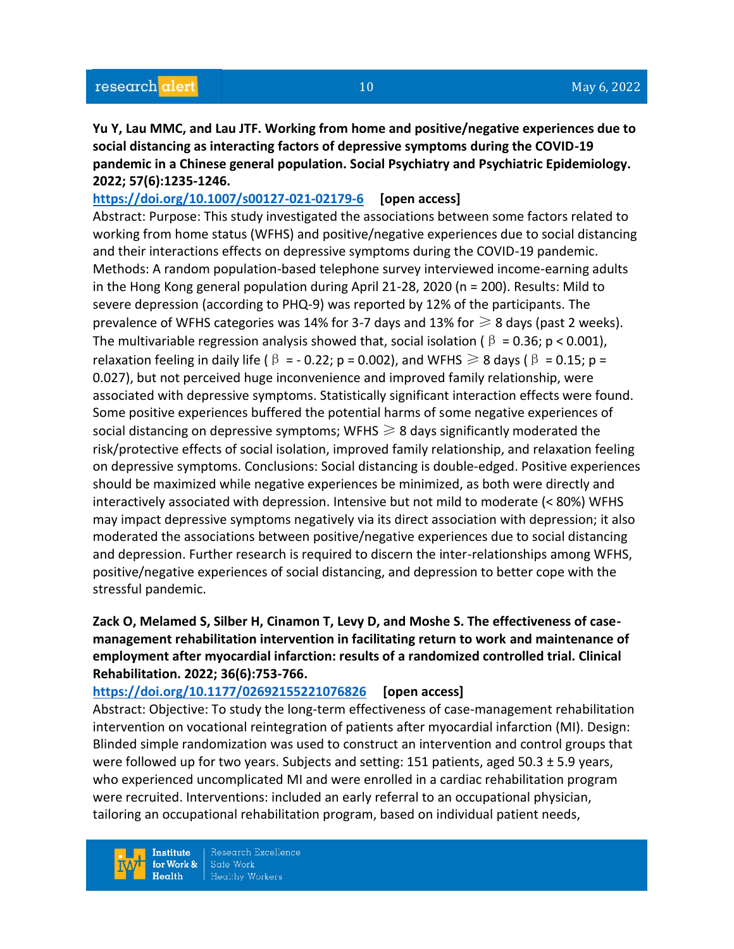**Yu Y, Lau MMC, and Lau JTF. Working from home and positive/negative experiences due to social distancing as interacting factors of depressive symptoms during the COVID-19 pandemic in a Chinese general population. Social Psychiatry and Psychiatric Epidemiology. 2022; 57(6):1235-1246.** 

**<https://doi.org/10.1007/s00127-021-02179-6> [open access]** Abstract: Purpose: This study investigated the associations between some factors related to working from home status (WFHS) and positive/negative experiences due to social distancing and their interactions effects on depressive symptoms during the COVID-19 pandemic. Methods: A random population-based telephone survey interviewed income-earning adults in the Hong Kong general population during April 21-28, 2020 (n = 200). Results: Mild to severe depression (according to PHQ-9) was reported by 12% of the participants. The prevalence of WFHS categories was 14% for 3-7 days and 13% for  $\geq 8$  days (past 2 weeks). The multivariable regression analysis showed that, social isolation ( $\beta = 0.36$ ; p < 0.001), relaxation feeling in daily life ( $\beta = -0.22$ ; p = 0.002), and WFHS  $\ge 8$  days ( $\beta = 0.15$ ; p = 0.027), but not perceived huge inconvenience and improved family relationship, were associated with depressive symptoms. Statistically significant interaction effects were found. Some positive experiences buffered the potential harms of some negative experiences of social distancing on depressive symptoms; WFHS  $\geq 8$  days significantly moderated the risk/protective effects of social isolation, improved family relationship, and relaxation feeling on depressive symptoms. Conclusions: Social distancing is double-edged. Positive experiences should be maximized while negative experiences be minimized, as both were directly and interactively associated with depression. Intensive but not mild to moderate (< 80%) WFHS may impact depressive symptoms negatively via its direct association with depression; it also moderated the associations between positive/negative experiences due to social distancing and depression. Further research is required to discern the inter-relationships among WFHS, positive/negative experiences of social distancing, and depression to better cope with the stressful pandemic.

## **Zack O, Melamed S, Silber H, Cinamon T, Levy D, and Moshe S. The effectiveness of casemanagement rehabilitation intervention in facilitating return to work and maintenance of employment after myocardial infarction: results of a randomized controlled trial. Clinical Rehabilitation. 2022; 36(6):753-766.**

#### **<https://doi.org/10.1177/02692155221076826> [open access]**

Abstract: Objective: To study the long-term effectiveness of case-management rehabilitation intervention on vocational reintegration of patients after myocardial infarction (MI). Design: Blinded simple randomization was used to construct an intervention and control groups that were followed up for two years. Subjects and setting: 151 patients, aged 50.3  $\pm$  5.9 years, who experienced uncomplicated MI and were enrolled in a cardiac rehabilitation program were recruited. Interventions: included an early referral to an occupational physician, tailoring an occupational rehabilitation program, based on individual patient needs,

**Institute** for Work &  $Heath$